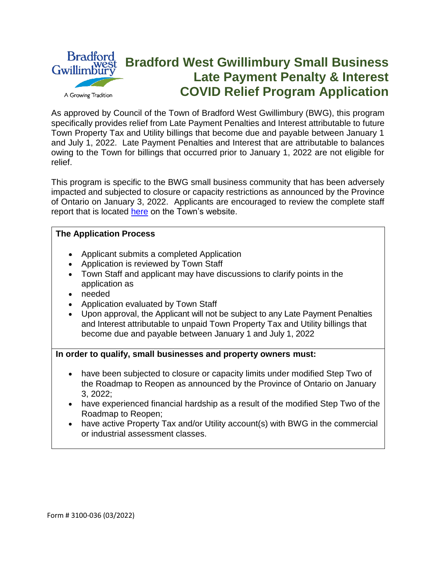

As approved by Council of the Town of Bradford West Gwillimbury (BWG), this program specifically provides relief from Late Payment Penalties and Interest attributable to future Town Property Tax and Utility billings that become due and payable between January 1 and July 1, 2022. Late Payment Penalties and Interest that are attributable to balances owing to the Town for billings that occurred prior to January 1, 2022 are not eligible for relief.

This program is specific to the BWG small business community that has been adversely impacted and subjected to closure or capacity restrictions as announced by the Province of Ontario on January 3, 2022. Applicants are encouraged to review the complete staff report that is located [here](https://bradfordwestgwillimbury.civicweb.net/FileStorage/836DA0BF9E404452825DF9B032065BBF-2022%20COVID%20Supports%20for%20Affected%20Small%20Business.pdf) on the Town's website.

### **The Application Process**

- Applicant submits a completed Application
- Application is reviewed by Town Staff
- Town Staff and applicant may have discussions to clarify points in the application as
- needed
- Application evaluated by Town Staff
- Upon approval, the Applicant will not be subject to any Late Payment Penalties and Interest attributable to unpaid Town Property Tax and Utility billings that become due and payable between January 1 and July 1, 2022

### **In order to qualify, small businesses and property owners must:**

- have been subjected to closure or capacity limits under modified Step Two of the Roadmap to Reopen as announced by the Province of Ontario on January 3, 2022;
- have experienced financial hardship as a result of the modified Step Two of the Roadmap to Reopen;
- have active Property Tax and/or Utility account(s) with BWG in the commercial or industrial assessment classes.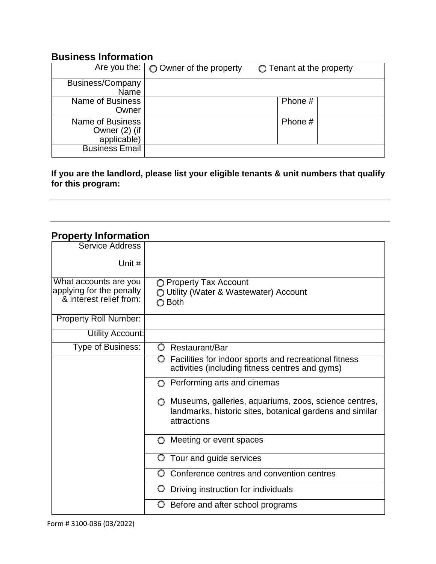## **Business Information**

|                                                         | Are you the: $\bigcirc$ Owner of the property | $\bigcirc$ Tenant at the property |
|---------------------------------------------------------|-----------------------------------------------|-----------------------------------|
| Business/Company<br>Name                                |                                               |                                   |
| Name of Business<br>Owner                               |                                               | Phone #                           |
| <b>Name of Business</b><br>Owner (2) (if<br>applicable) |                                               | Phone #                           |
| <b>Business Email</b>                                   |                                               |                                   |

### **If you are the landlord, please list your eligible tenants & unit numbers that qualify for this program:**

# **Property Information**

| <b>Service Address</b>                                                       |                                                                                                                                             |  |
|------------------------------------------------------------------------------|---------------------------------------------------------------------------------------------------------------------------------------------|--|
| Unit #                                                                       |                                                                                                                                             |  |
| What accounts are you<br>applying for the penalty<br>& interest relief from: | ◯ Property Tax Account<br>O Utility (Water & Wastewater) Account<br>◯ Both                                                                  |  |
| <b>Property Roll Number:</b>                                                 |                                                                                                                                             |  |
| <b>Utility Account:</b>                                                      |                                                                                                                                             |  |
| Type of Business:                                                            | O<br>Restaurant/Bar                                                                                                                         |  |
|                                                                              | Facilities for indoor sports and recreational fitness<br>$\circ$<br>activities (including fitness centres and gyms)                         |  |
|                                                                              | Performing arts and cinemas<br>∩                                                                                                            |  |
|                                                                              | Museums, galleries, aquariums, zoos, science centres,<br>$\circ$<br>landmarks, historic sites, botanical gardens and similar<br>attractions |  |
|                                                                              | Meeting or event spaces<br>O                                                                                                                |  |
|                                                                              | Tour and guide services<br>O                                                                                                                |  |
|                                                                              | Conference centres and convention centres<br>O                                                                                              |  |
|                                                                              | Driving instruction for individuals<br>O                                                                                                    |  |
|                                                                              | O<br>Before and after school programs                                                                                                       |  |